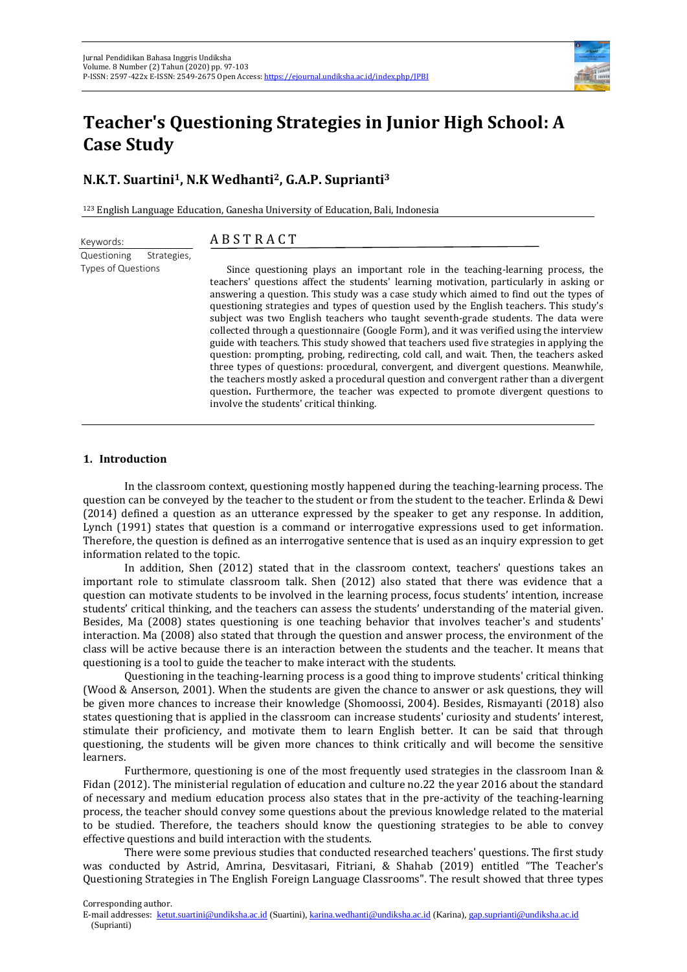

# **Teacher's Questioning Strategies in Junior High School: A Case Study**

# **N.K.T. Suartini1, N.K Wedhanti2, G.A.P. Suprianti<sup>3</sup>**

<sup>123</sup> English Language Education, Ganesha University of Education, Bali, Indonesia

## A B S T R A C T

Questioning Strategies, Types of Questions

Keywords:

Since questioning plays an important role in the teaching-learning process, the teachers' questions affect the students' learning motivation, particularly in asking or answering a question. This study was a case study which aimed to find out the types of questioning strategies and types of question used by the English teachers. This study's subject was two English teachers who taught seventh-grade students. The data were collected through a questionnaire (Google Form), and it was verified using the interview guide with teachers. This study showed that teachers used five strategies in applying the question: prompting, probing, redirecting, cold call, and wait. Then, the teachers asked three types of questions: procedural, convergent, and divergent questions. Meanwhile, the teachers mostly asked a procedural question and convergent rather than a divergent question**.** Furthermore, the teacher was expected to promote divergent questions to involve the students' critical thinking.

### **1. Introduction**

In the classroom context, questioning mostly happened during the teaching-learning process. The question can be conveyed by the teacher to the student or from the student to the teacher. Erlinda & Dewi (2014) defined a question as an utterance expressed by the speaker to get any response. In addition, Lynch (1991) states that question is a command or interrogative expressions used to get information. Therefore, the question is defined as an interrogative sentence that is used as an inquiry expression to get information related to the topic.

In addition, Shen (2012) stated that in the classroom context, teachers' questions takes an important role to stimulate classroom talk. Shen (2012) also stated that there was evidence that a question can motivate students to be involved in the learning process, focus students' intention, increase students' critical thinking, and the teachers can assess the students' understanding of the material given. Besides, Ma (2008) states questioning is one teaching behavior that involves teacher's and students' interaction. Ma (2008) also stated that through the question and answer process, the environment of the class will be active because there is an interaction between the students and the teacher. It means that questioning is a tool to guide the teacher to make interact with the students.

Questioning in the teaching-learning process is a good thing to improve students' critical thinking (Wood & Anserson, 2001). When the students are given the chance to answer or ask questions, they will be given more chances to increase their knowledge (Shomoossi, 2004). Besides, Rismayanti (2018) also states questioning that is applied in the classroom can increase students' curiosity and students' interest, stimulate their proficiency, and motivate them to learn English better. It can be said that through questioning, the students will be given more chances to think critically and will become the sensitive learners.

Furthermore, questioning is one of the most frequently used strategies in the classroom Inan & Fidan (2012). The ministerial regulation of education and culture no.22 the year 2016 about the standard of necessary and medium education process also states that in the pre-activity of the teaching-learning process, the teacher should convey some questions about the previous knowledge related to the material to be studied. Therefore, the teachers should know the questioning strategies to be able to convey effective questions and build interaction with the students.

There were some previous studies that conducted researched teachers' questions. The first study was conducted by Astrid, Amrina, Desvitasari, Fitriani, & Shahab (2019) entitled "The Teacher's Questioning Strategies in The English Foreign Language Classrooms". The result showed that three types

Corresponding author.

E-mail addresses: ketut.suartini@undiksha.ac.id (Suartini), karina.wedhanti@undiksha.ac.id (Karina), gap.suprianti@undiksha.ac.id (Suprianti)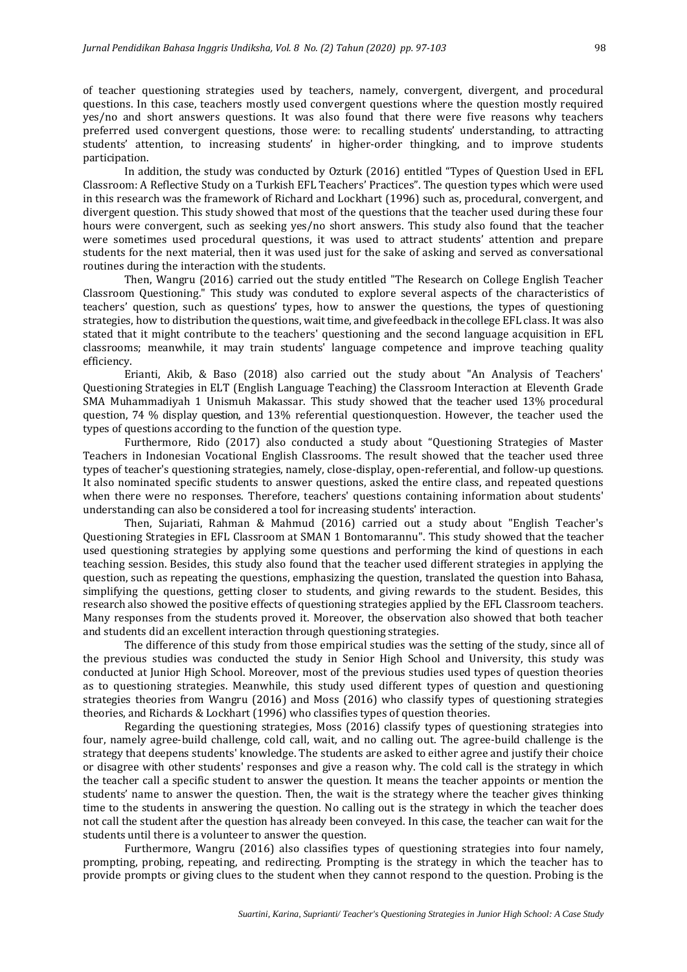of teacher questioning strategies used by teachers, namely, convergent, divergent, and procedural questions. In this case, teachers mostly used convergent questions where the question mostly required yes/no and short answers questions. It was also found that there were five reasons why teachers preferred used convergent questions, those were: to recalling students' understanding, to attracting students' attention, to increasing students' in higher-order thingking, and to improve students participation.

In addition, the study was conducted by Ozturk (2016) entitled "Types of Question Used in EFL Classroom: A Reflective Study on a Turkish EFL Teachers' Practices". The question types which were used in this research was the framework of Richard and Lockhart (1996) such as, procedural, convergent, and divergent question. This study showed that most of the questions that the teacher used during these four hours were convergent, such as seeking yes/no short answers. This study also found that the teacher were sometimes used procedural questions, it was used to attract students' attention and prepare students for the next material, then it was used just for the sake of asking and served as conversational routines during the interaction with the students.

Then, Wangru (2016) carried out the study entitled "The Research on College English Teacher Classroom Questioning." This study was conduted to explore several aspects of the characteristics of teachers' question, such as questions' types, how to answer the questions, the types of questioning strategies, how to distribution the questions, waittime, and give feedback in the college EFL class. It was also stated that it might contribute to the teachers' questioning and the second language acquisition in EFL classrooms; meanwhile, it may train students' language competence and improve teaching quality efficiency.

Erianti, Akib, & Baso (2018) also carried out the study about "An Analysis of Teachers' Questioning Strategies in ELT (English Language Teaching) the Classroom Interaction at Eleventh Grade SMA Muhammadiyah 1 Unismuh Makassar. This study showed that the teacher used 13% procedural question, 74 % display question, and 13% referential questionquestion. However, the teacher used the types of questions according to the function of the question type.

Furthermore, Rido (2017) also conducted a study about "Questioning Strategies of Master Teachers in Indonesian Vocational English Classrooms. The result showed that the teacher used three types of teacher's questioning strategies, namely, close-display, open-referential, and follow-up questions. It also nominated specific students to answer questions, asked the entire class, and repeated questions when there were no responses. Therefore, teachers' questions containing information about students' understanding can also be considered a tool for increasing students' interaction.

Then, Sujariati, Rahman & Mahmud (2016) carried out a study about "English Teacher's Questioning Strategies in EFL Classroom at SMAN 1 Bontomarannu". This study showed that the teacher used questioning strategies by applying some questions and performing the kind of questions in each teaching session. Besides, this study also found that the teacher used different strategies in applying the question, such as repeating the questions, emphasizing the question, translated the question into Bahasa, simplifying the questions, getting closer to students, and giving rewards to the student. Besides, this research also showed the positive effects of questioning strategies applied by the EFL Classroom teachers. Many responses from the students proved it. Moreover, the observation also showed that both teacher and students did an excellent interaction through questioning strategies.

The difference of this study from those empirical studies was the setting of the study, since all of the previous studies was conducted the study in Senior High School and University, this study was conducted at Junior High School. Moreover, most of the previous studies used types of question theories as to questioning strategies. Meanwhile, this study used different types of question and questioning strategies theories from Wangru (2016) and Moss (2016) who classify types of questioning strategies theories, and Richards & Lockhart (1996) who classifies types of question theories.

Regarding the questioning strategies, Moss (2016) classify types of questioning strategies into four, namely agree-build challenge, cold call, wait, and no calling out. The agree-build challenge is the strategy that deepens students' knowledge. The students are asked to either agree and justify their choice or disagree with other students' responses and give a reason why. The cold call is the strategy in which the teacher call a specific student to answer the question. It means the teacher appoints or mention the students' name to answer the question. Then, the wait is the strategy where the teacher gives thinking time to the students in answering the question. No calling out is the strategy in which the teacher does not call the student after the question has already been conveyed. In this case, the teacher can wait for the students until there is a volunteer to answer the question.

Furthermore, Wangru (2016) also classifies types of questioning strategies into four namely, prompting, probing, repeating, and redirecting. Prompting is the strategy in which the teacher has to provide prompts or giving clues to the student when they cannot respond to the question. Probing is the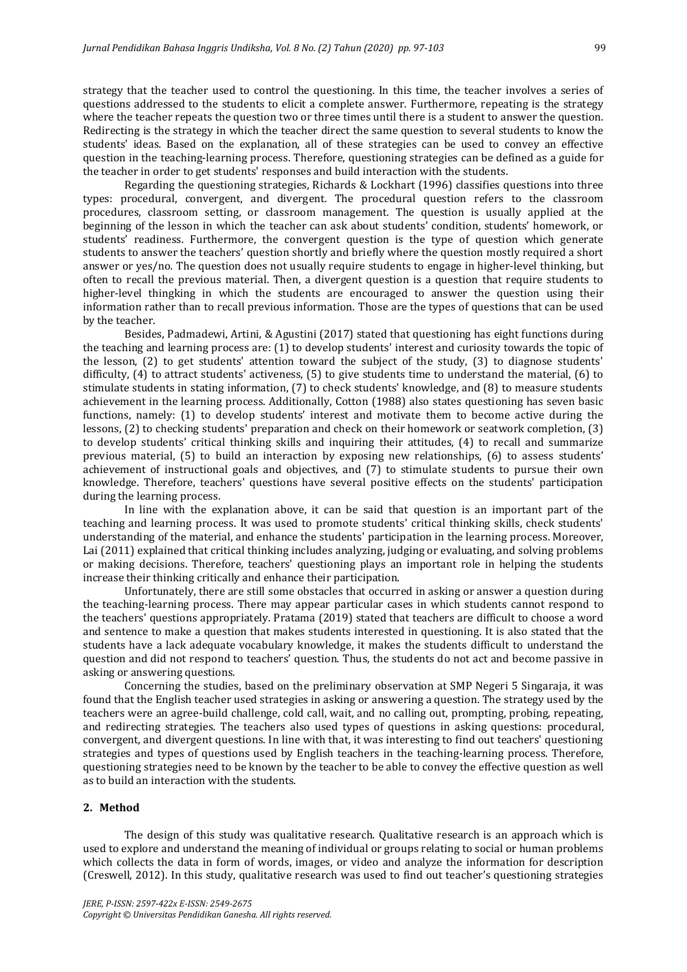strategy that the teacher used to control the questioning. In this time, the teacher involves a series of questions addressed to the students to elicit a complete answer. Furthermore, repeating is the strategy where the teacher repeats the question two or three times until there is a student to answer the question. Redirecting is the strategy in which the teacher direct the same question to several students to know the students' ideas. Based on the explanation, all of these strategies can be used to convey an effective question in the teaching-learning process. Therefore, questioning strategies can be defined as a guide for the teacher in order to get students' responses and build interaction with the students.

Regarding the questioning strategies, Richards & Lockhart (1996) classifies questions into three types: procedural, convergent, and divergent. The procedural question refers to the classroom procedures, classroom setting, or classroom management. The question is usually applied at the beginning of the lesson in which the teacher can ask about students' condition, students' homework, or students' readiness. Furthermore, the convergent question is the type of question which generate students to answer the teachers' question shortly and briefly where the question mostly required a short answer or yes/no. The question does not usually require students to engage in higher-level thinking, but often to recall the previous material. Then, a divergent question is a question that require students to higher-level thingking in which the students are encouraged to answer the question using their information rather than to recall previous information. Those are the types of questions that can be used by the teacher.

Besides, Padmadewi, Artini, & Agustini (2017) stated that questioning has eight functions during the teaching and learning process are: (1) to develop students' interest and curiosity towards the topic of the lesson, (2) to get students' attention toward the subject of the study, (3) to diagnose students' difficulty, (4) to attract students' activeness, (5) to give students time to understand the material, (6) to stimulate students in stating information, (7) to check students' knowledge, and (8) to measure students achievement in the learning process. Additionally, Cotton (1988) also states questioning has seven basic functions, namely: (1) to develop students' interest and motivate them to become active during the lessons, (2) to checking students' preparation and check on their homework or seatwork completion, (3) to develop students' critical thinking skills and inquiring their attitudes, (4) to recall and summarize previous material, (5) to build an interaction by exposing new relationships, (6) to assess students' achievement of instructional goals and objectives, and (7) to stimulate students to pursue their own knowledge. Therefore, teachers' questions have several positive effects on the students' participation during the learning process.

In line with the explanation above, it can be said that question is an important part of the teaching and learning process. It was used to promote students' critical thinking skills, check students' understanding of the material, and enhance the students' participation in the learning process. Moreover, Lai (2011) explained that critical thinking includes analyzing, judging or evaluating, and solving problems or making decisions. Therefore, teachers' questioning plays an important role in helping the students increase their thinking critically and enhance their participation.

Unfortunately, there are still some obstacles that occurred in asking or answer a question during the teaching-learning process. There may appear particular cases in which students cannot respond to the teachers' questions appropriately. Pratama (2019) stated that teachers are difficult to choose a word and sentence to make a question that makes students interested in questioning. It is also stated that the students have a lack adequate vocabulary knowledge, it makes the students difficult to understand the question and did not respond to teachers' question. Thus, the students do not act and become passive in asking or answering questions.

Concerning the studies, based on the preliminary observation at SMP Negeri 5 Singaraja, it was found that the English teacher used strategies in asking or answering a question. The strategy used by the teachers were an agree-build challenge, cold call, wait, and no calling out, prompting, probing, repeating, and redirecting strategies. The teachers also used types of questions in asking questions: procedural, convergent, and divergent questions. In line with that, it was interesting to find out teachers' questioning strategies and types of questions used by English teachers in the teaching-learning process. Therefore, questioning strategies need to be known by the teacher to be able to convey the effective question as well as to build an interaction with the students.

#### **2. Method**

The design of this study was qualitative research. Qualitative research is an approach which is used to explore and understand the meaning of individual or groups relating to social or human problems which collects the data in form of words, images, or video and analyze the information for description (Creswell, 2012). In this study, qualitative research was used to find out teacher's questioning strategies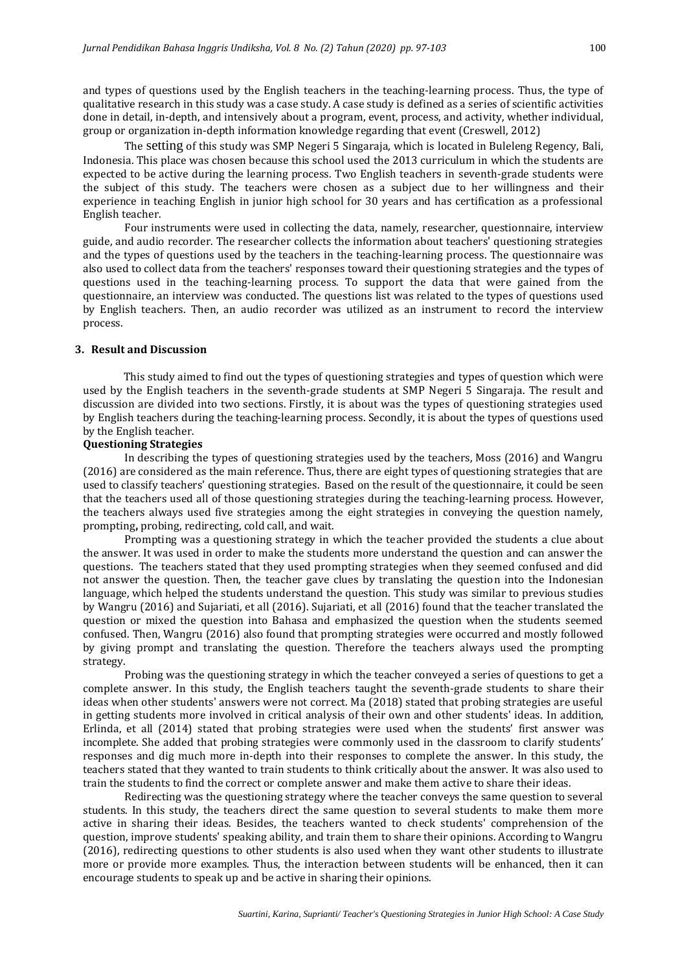and types of questions used by the English teachers in the teaching-learning process. Thus, the type of qualitative research in this study was a case study. A case study is defined as a series of scientific activities done in detail, in-depth, and intensively about a program, event, process, and activity, whether individual, group or organization in-depth information knowledge regarding that event (Creswell, 2012)

The setting of this study was SMP Negeri 5 Singaraja, which is located in Buleleng Regency, Bali, Indonesia. This place was chosen because this school used the 2013 curriculum in which the students are expected to be active during the learning process. Two English teachers in seventh-grade students were the subject of this study. The teachers were chosen as a subject due to her willingness and their experience in teaching English in junior high school for 30 years and has certification as a professional English teacher.

Four instruments were used in collecting the data, namely, researcher, questionnaire, interview guide, and audio recorder. The researcher collects the information about teachers' questioning strategies and the types of questions used by the teachers in the teaching-learning process. The questionnaire was also used to collect data from the teachers' responses toward their questioning strategies and the types of questions used in the teaching-learning process. To support the data that were gained from the questionnaire, an interview was conducted. The questions list was related to the types of questions used by English teachers. Then, an audio recorder was utilized as an instrument to record the interview process.

### **3. Result and Discussion**

This study aimed to find out the types of questioning strategies and types of question which were used by the English teachers in the seventh-grade students at SMP Negeri 5 Singaraja. The result and discussion are divided into two sections. Firstly, it is about was the types of questioning strategies used by English teachers during the teaching-learning process. Secondly, it is about the types of questions used by the English teacher.

#### **Questioning Strategies**

In describing the types of questioning strategies used by the teachers, Moss (2016) and Wangru (2016) are considered as the main reference. Thus, there are eight types of questioning strategies that are used to classify teachers' questioning strategies. Based on the result of the questionnaire, it could be seen that the teachers used all of those questioning strategies during the teaching-learning process. However, the teachers always used five strategies among the eight strategies in conveying the question namely, prompting**,** probing, redirecting, cold call, and wait.

Prompting was a questioning strategy in which the teacher provided the students a clue about the answer. It was used in order to make the students more understand the question and can answer the questions. The teachers stated that they used prompting strategies when they seemed confused and did not answer the question. Then, the teacher gave clues by translating the question into the Indonesian language, which helped the students understand the question. This study was similar to previous studies by Wangru (2016) and Sujariati, et all (2016). Sujariati, et all (2016) found that the teacher translated the question or mixed the question into Bahasa and emphasized the question when the students seemed confused. Then, Wangru (2016) also found that prompting strategies were occurred and mostly followed by giving prompt and translating the question. Therefore the teachers always used the prompting strategy.

Probing was the questioning strategy in which the teacher conveyed a series of questions to get a complete answer. In this study, the English teachers taught the seventh-grade students to share their ideas when other students' answers were not correct. Ma (2018) stated that probing strategies are useful in getting students more involved in critical analysis of their own and other students' ideas. In addition, Erlinda, et all (2014) stated that probing strategies were used when the students' first answer was incomplete. She added that probing strategies were commonly used in the classroom to clarify students' responses and dig much more in-depth into their responses to complete the answer. In this study, the teachers stated that they wanted to train students to think critically about the answer. It was also used to train the students to find the correct or complete answer and make them active to share their ideas.

Redirecting was the questioning strategy where the teacher conveys the same question to several students. In this study, the teachers direct the same question to several students to make them more active in sharing their ideas. Besides, the teachers wanted to check students' comprehension of the question, improve students' speaking ability, and train them to share their opinions. According to Wangru (2016), redirecting questions to other students is also used when they want other students to illustrate more or provide more examples. Thus, the interaction between students will be enhanced, then it can encourage students to speak up and be active in sharing their opinions.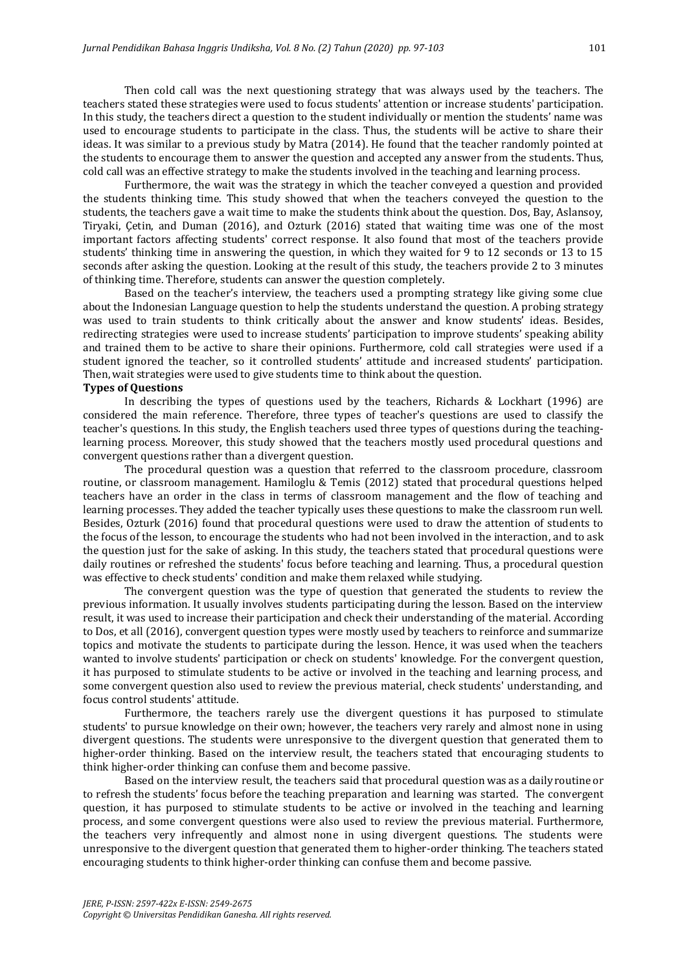Then cold call was the next questioning strategy that was always used by the teachers. The teachers stated these strategies were used to focus students' attention or increase students' participation. In this study, the teachers direct a question to the student individually or mention the students' name was used to encourage students to participate in the class. Thus, the students will be active to share their ideas. It was similar to a previous study by Matra (2014). He found that the teacher randomly pointed at the students to encourage them to answer the question and accepted any answer from the students. Thus, cold call was an effective strategy to make the students involved in the teaching and learning process.

Furthermore, the wait was the strategy in which the teacher conveyed a question and provided the students thinking time. This study showed that when the teachers conveyed the question to the students, the teachers gave a wait time to make the students think about the question. Dos, Bay, Aslansoy, Tiryaki, Çetin, and Duman (2016), and Ozturk (2016) stated that waiting time was one of the most important factors affecting students' correct response. It also found that most of the teachers provide students' thinking time in answering the question, in which they waited for 9 to 12 seconds or 13 to 15 seconds after asking the question. Looking at the result of this study, the teachers provide 2 to 3 minutes of thinking time. Therefore, students can answer the question completely.

Based on the teacher's interview, the teachers used a prompting strategy like giving some clue about the Indonesian Language question to help the students understand the question. A probing strategy was used to train students to think critically about the answer and know students' ideas. Besides, redirecting strategies were used to increase students' participation to improve students' speaking ability and trained them to be active to share their opinions. Furthermore, cold call strategies were used if a student ignored the teacher, so it controlled students' attitude and increased students' participation. Then, wait strategies were used to give students time to think about the question.

#### **Types of Questions**

In describing the types of questions used by the teachers, Richards & Lockhart (1996) are considered the main reference. Therefore, three types of teacher's questions are used to classify the teacher's questions. In this study, the English teachers used three types of questions during the teachinglearning process. Moreover, this study showed that the teachers mostly used procedural questions and convergent questions rather than a divergent question.

The procedural question was a question that referred to the classroom procedure, classroom routine, or classroom management. Hamiloglu & Temis (2012) stated that procedural questions helped teachers have an order in the class in terms of classroom management and the flow of teaching and learning processes. They added the teacher typically uses these questions to make the classroom run well. Besides, Ozturk (2016) found that procedural questions were used to draw the attention of students to the focus of the lesson, to encourage the students who had not been involved in the interaction, and to ask the question just for the sake of asking. In this study, the teachers stated that procedural questions were daily routines or refreshed the students' focus before teaching and learning. Thus, a procedural question was effective to check students' condition and make them relaxed while studying.

The convergent question was the type of question that generated the students to review the previous information. It usually involves students participating during the lesson. Based on the interview result, it was used to increase their participation and check their understanding of the material. According to Dos, et all (2016), convergent question types were mostly used by teachers to reinforce and summarize topics and motivate the students to participate during the lesson. Hence, it was used when the teachers wanted to involve students' participation or check on students' knowledge. For the convergent question, it has purposed to stimulate students to be active or involved in the teaching and learning process, and some convergent question also used to review the previous material, check students' understanding, and focus control students' attitude.

Furthermore, the teachers rarely use the divergent questions it has purposed to stimulate students' to pursue knowledge on their own; however, the teachers very rarely and almost none in using divergent questions. The students were unresponsive to the divergent question that generated them to higher-order thinking. Based on the interview result, the teachers stated that encouraging students to think higher-order thinking can confuse them and become passive.

Based on the interview result, the teachers said that procedural question was as a daily routine or to refresh the students' focus before the teaching preparation and learning was started. The convergent question, it has purposed to stimulate students to be active or involved in the teaching and learning process, and some convergent questions were also used to review the previous material. Furthermore, the teachers very infrequently and almost none in using divergent questions. The students were unresponsive to the divergent question that generated them to higher-order thinking. The teachers stated encouraging students to think higher-order thinking can confuse them and become passive.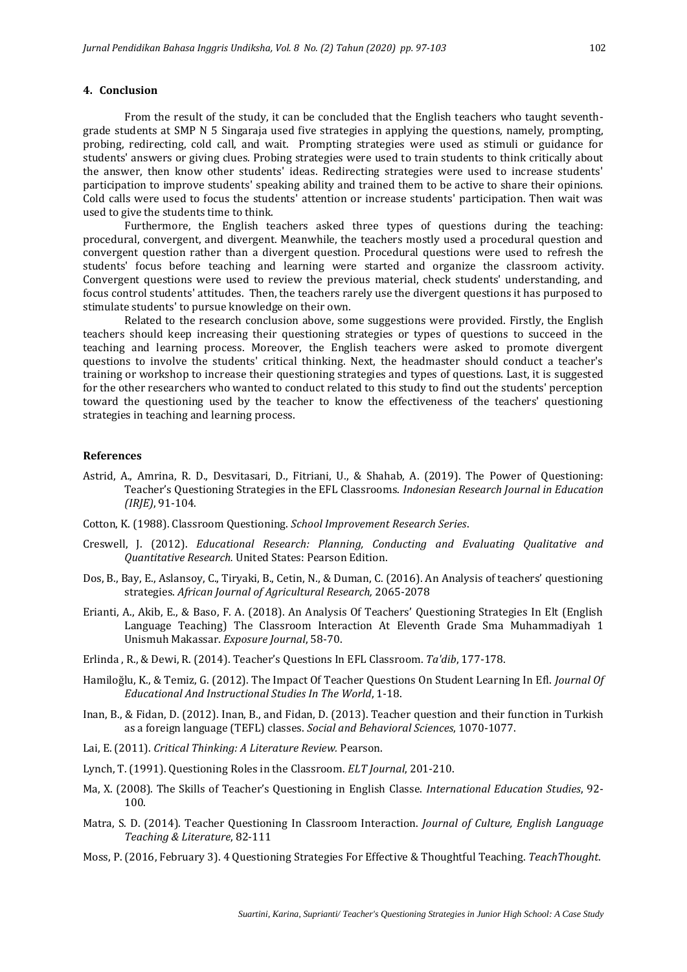#### **4. Conclusion**

From the result of the study, it can be concluded that the English teachers who taught seventhgrade students at SMP N 5 Singaraja used five strategies in applying the questions, namely, prompting, probing, redirecting, cold call, and wait. Prompting strategies were used as stimuli or guidance for students' answers or giving clues. Probing strategies were used to train students to think critically about the answer, then know other students' ideas. Redirecting strategies were used to increase students' participation to improve students' speaking ability and trained them to be active to share their opinions. Cold calls were used to focus the students' attention or increase students' participation. Then wait was used to give the students time to think.

Furthermore, the English teachers asked three types of questions during the teaching: procedural, convergent, and divergent. Meanwhile, the teachers mostly used a procedural question and convergent question rather than a divergent question. Procedural questions were used to refresh the students' focus before teaching and learning were started and organize the classroom activity. Convergent questions were used to review the previous material, check students' understanding, and focus control students' attitudes. Then, the teachers rarely use the divergent questions it has purposed to stimulate students' to pursue knowledge on their own.

Related to the research conclusion above, some suggestions were provided. Firstly, the English teachers should keep increasing their questioning strategies or types of questions to succeed in the teaching and learning process. Moreover, the English teachers were asked to promote divergent questions to involve the students' critical thinking. Next, the headmaster should conduct a teacher's training or workshop to increase their questioning strategies and types of questions. Last, it is suggested for the other researchers who wanted to conduct related to this study to find out the students' perception toward the questioning used by the teacher to know the effectiveness of the teachers' questioning strategies in teaching and learning process.

#### **References**

- Astrid, A., Amrina, R. D., Desvitasari, D., Fitriani, U., & Shahab, A. (2019). The Power of Questioning: Teacher's Questioning Strategies in the EFL Classrooms. *Indonesian Research Journal in Education (IRJE)*, 91-104.
- Cotton, K. (1988). Classroom Questioning. *School Improvement Research Series*.
- Creswell, J. (2012). *Educational Research: Planning, Conducting and Evaluating Qualitative and Quantitative Research.* United States: Pearson Edition.
- Dos, B., Bay, E., Aslansoy, C., Tiryaki, B., Cetin, N., & Duman, C. (2016). An Analysis of teachers' questioning strategies. *African Journal of Agricultural Research,* 2065-2078
- Erianti, A., Akib, E., & Baso, F. A. (2018). An Analysis Of Teachers' Questioning Strategies In Elt (English Language Teaching) The Classroom Interaction At Eleventh Grade Sma Muhammadiyah 1 Unismuh Makassar. *Exposure Journal*, 58-70.
- Erlinda , R., & Dewi, R. (2014). Teacher's Questions In EFL Classroom. *Ta'dib*, 177-178.
- Hamiloğlu, K., & Temiz, G. (2012). The Impact Of Teacher Questions On Student Learning In Efl. *Journal Of Educational And Instructional Studies In The World*, 1-18.
- Inan, B., & Fidan, D. (2012). Inan, B., and Fidan, D. (2013). Teacher question and their function in Turkish as a foreign language (TEFL) classes. *Social and Behavioral Sciences*, 1070-1077.
- Lai, E. (2011). *Critical Thinking: A Literature Review.* Pearson.
- Lynch, T. (1991). Questioning Roles in the Classroom. *ELT Journal*, 201-210.
- Ma, X. (2008). The Skills of Teacher's Questioning in English Classe. *International Education Studies*, 92- 100.
- Matra, S. D. (2014). Teacher Questioning In Classroom Interaction. *Journal of Culture, English Language Teaching & Literature*, 82-111
- Moss, P. (2016, February 3). 4 Questioning Strategies For Effective & Thoughtful Teaching. *TeachThought*.